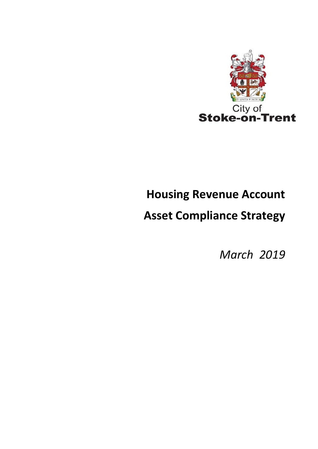

# **Housing Revenue Account**

# **Asset Compliance Strategy**

*March 2019*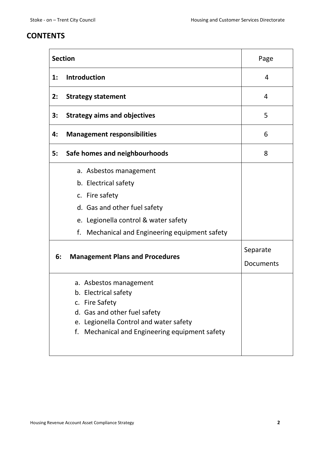# **CONTENTS**

|                | <b>Section</b>                                                                                                                                                                                                                       | Page      |
|----------------|--------------------------------------------------------------------------------------------------------------------------------------------------------------------------------------------------------------------------------------|-----------|
| $\mathbf{1}$ : | <b>Introduction</b>                                                                                                                                                                                                                  | 4         |
| 2:             | <b>Strategy statement</b>                                                                                                                                                                                                            | 4         |
| 3:             | <b>Strategy aims and objectives</b>                                                                                                                                                                                                  | 5         |
| 4:             | <b>Management responsibilities</b>                                                                                                                                                                                                   | 6         |
| 5:             | Safe homes and neighbourhoods                                                                                                                                                                                                        | 8         |
| 6:             | a. Asbestos management<br>b. Electrical safety<br>c. Fire safety<br>d. Gas and other fuel safety<br>e. Legionella control & water safety<br>f. Mechanical and Engineering equipment safety<br><b>Management Plans and Procedures</b> | Separate  |
|                |                                                                                                                                                                                                                                      | Documents |
|                | a. Asbestos management<br>b. Electrical safety<br>c. Fire Safety<br>d. Gas and other fuel safety<br>e. Legionella Control and water safety<br>f. Mechanical and Engineering equipment safety                                         |           |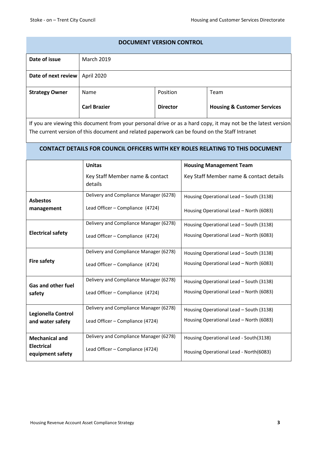# **DOCUMENT VERSION CONTROL Date of issue** March 2019 **Date of next review** April 2020 **Strategy Owner** | Name **Carl Brazier**  Position **Director** Team **Housing & Customer Services**

If you are viewing this document from your personal drive or as a hard copy, it may not be the latest version. The current version of this document and related paperwork can be found on the Staff Intranet

## **CONTACT DETAILS FOR COUNCIL OFFICERS WITH KEY ROLES RELATING TO THIS DOCUMENT**

|                                       | <b>Unitas</b>                              | <b>Housing Management Team</b>          |
|---------------------------------------|--------------------------------------------|-----------------------------------------|
|                                       | Key Staff Member name & contact<br>details | Key Staff Member name & contact details |
| <b>Asbestos</b>                       | Delivery and Compliance Manager (6278)     | Housing Operational Lead - South (3138) |
| management                            | Lead Officer - Compliance (4724)           | Housing Operational Lead - North (6083) |
|                                       | Delivery and Compliance Manager (6278)     | Housing Operational Lead - South (3138) |
| <b>Electrical safety</b>              | Lead Officer - Compliance (4724)           | Housing Operational Lead - North (6083) |
|                                       | Delivery and Compliance Manager (6278)     | Housing Operational Lead - South (3138) |
| <b>Fire safety</b>                    | Lead Officer - Compliance (4724)           | Housing Operational Lead - North (6083) |
| <b>Gas and other fuel</b>             | Delivery and Compliance Manager (6278)     | Housing Operational Lead - South (3138) |
| safety                                | Lead Officer - Compliance (4724)           | Housing Operational Lead - North (6083) |
| Legionella Control                    | Delivery and Compliance Manager (6278)     | Housing Operational Lead - South (3138) |
| and water safety                      | Lead Officer - Compliance (4724)           | Housing Operational Lead - North (6083) |
| <b>Mechanical and</b>                 | Delivery and Compliance Manager (6278)     | Housing Operational Lead - South(3138)  |
| <b>Electrical</b><br>equipment safety | Lead Officer - Compliance (4724)           | Housing Operational Lead - North(6083)  |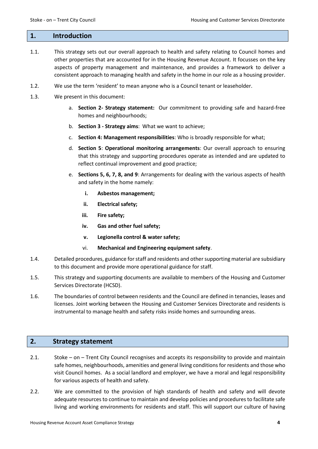#### **1. Introduction**

- 1.1. This strategy sets out our overall approach to health and safety relating to Council homes and other properties that are accounted for in the Housing Revenue Account. It focusses on the key aspects of property management and maintenance, and provides a framework to deliver a consistent approach to managing health and safety in the home in our role as a housing provider.
- 1.2. We use the term 'resident' to mean anyone who is a Council tenant or leaseholder.
- 1.3. We present in this document:
	- a. **Section 2- Strategy statement:** Our commitment to providing safe and hazard-free homes and neighbourhoods;
	- b. **Section 3 - Strategy aims**: What we want to achieve;
	- c. **Section 4: Management responsibilities**: Who is broadly responsible for what;
	- d. **Section 5**: **Operational monitoring arrangements**: Our overall approach to ensuring that this strategy and supporting procedures operate as intended and are updated to reflect continual improvement and good practice;
	- e. **Sections 5, 6, 7, 8, and 9**: Arrangements for dealing with the various aspects of health and safety in the home namely:
		- **i. Asbestos management;**
		- **ii. Electrical safety;**
		- **iii. Fire safety;**
		- **iv. Gas and other fuel safety;**
		- **v. Legionella control & water safety;**
		- vi. **Mechanical and Engineering equipment safety**.
- 1.4. Detailed procedures, guidance for staff and residents and other supporting material are subsidiary to this document and provide more operational guidance for staff.
- 1.5. This strategy and supporting documents are available to members of the Housing and Customer Services Directorate (HCSD).
- 1.6. The boundaries of control between residents and the Council are defined in tenancies, leases and licenses. Joint working between the Housing and Customer Services Directorate and residents is instrumental to manage health and safety risks inside homes and surrounding areas.

## **2. Strategy statement**

- 2.1. Stoke on Trent City Council recognises and accepts its responsibility to provide and maintain safe homes, neighbourhoods, amenities and general living conditions for residents and those who visit Council homes. As a social landlord and employer, we have a moral and legal responsibility for various aspects of health and safety.
- 2.2. We are committed to the provision of high standards of health and safety and will devote adequate resources to continue to maintain and develop policies and procedures to facilitate safe living and working environments for residents and staff. This will support our culture of having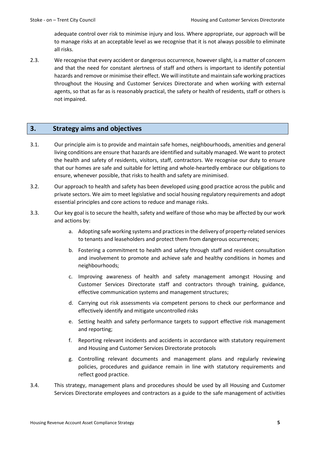adequate control over risk to minimise injury and loss. Where appropriate, our approach will be to manage risks at an acceptable level as we recognise that it is not always possible to eliminate all risks.

2.3. We recognise that every accident or dangerous occurrence, however slight, is a matter of concern and that the need for constant alertness of staff and others is important to identify potential hazards and remove or minimise their effect. We will institute and maintain safe working practices throughout the Housing and Customer Services Directorate and when working with external agents, so that as far as is reasonably practical, the safety or health of residents, staff or others is not impaired.

## **3. Strategy aims and objectives**

- 3.1. Our principle aim is to provide and maintain safe homes, neighbourhoods, amenities and general living conditions are ensure that hazards are identified and suitably managed. We want to protect the health and safety of residents, visitors, staff, contractors. We recognise our duty to ensure that our homes are safe and suitable for letting and whole-heartedly embrace our obligations to ensure, whenever possible, that risks to health and safety are minimised.
- 3.2. Our approach to health and safety has been developed using good practice across the public and private sectors. We aim to meet legislative and social housing regulatory requirements and adopt essential principles and core actions to reduce and manage risks.
- 3.3. Our key goal is to secure the health, safety and welfare of those who may be affected by our work and actions by:
	- a. Adopting safe working systems and practices in the delivery of property-related services to tenants and leaseholders and protect them from dangerous occurrences;
	- b. Fostering a commitment to health and safety through staff and resident consultation and involvement to promote and achieve safe and healthy conditions in homes and neighbourhoods;
	- c. Improving awareness of health and safety management amongst Housing and Customer Services Directorate staff and contractors through training, guidance, effective communication systems and management structures;
	- d. Carrying out risk assessments via competent persons to check our performance and effectively identify and mitigate uncontrolled risks
	- e. Setting health and safety performance targets to support effective risk management and reporting;
	- f. Reporting relevant incidents and accidents in accordance with statutory requirement and Housing and Customer Services Directorate protocols
	- g. Controlling relevant documents and management plans and regularly reviewing policies, procedures and guidance remain in line with statutory requirements and reflect good practice.
- 3.4. This strategy, management plans and procedures should be used by all Housing and Customer Services Directorate employees and contractors as a guide to the safe management of activities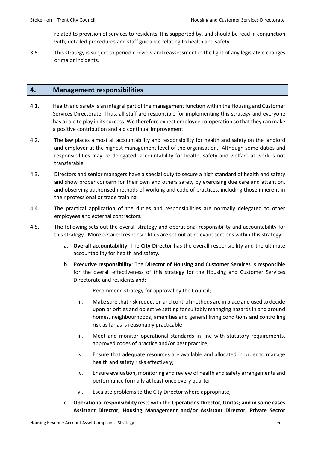related to provision of services to residents. It is supported by, and should be read in conjunction with, detailed procedures and staff guidance relating to health and safety.

3.5. This strategy is subject to periodic review and reassessment in the light of any legislative changes or major incidents.

### **4. Management responsibilities**

- 4.1. Health and safety is an integral part of the management function within the Housing and Customer Services Directorate. Thus, all staff are responsible for implementing this strategy and everyone has a role to play in its success. We therefore expect employee co-operation so that they can make a positive contribution and aid continual improvement.
- 4.2. The law places almost all accountability and responsibility for health and safety on the landlord and employer at the highest management level of the organisation. Although some duties and responsibilities may be delegated, accountability for health, safety and welfare at work is not transferable.
- 4.3. Directors and senior managers have a special duty to secure a high standard of health and safety and show proper concern for their own and others safety by exercising due care and attention, and observing authorised methods of working and code of practices, including those inherent in their professional or trade training.
- 4.4. The practical application of the duties and responsibilities are normally delegated to other employees and external contractors.
- 4.5. The following sets out the overall strategy and operational responsibility and accountability for this strategy. More detailed responsibilities are set out at relevant sections within this strategy**:**
	- a. **Overall accountability**: The **City Director** has the overall responsibility and the ultimate accountability for health and safety.
	- b. **Executive responsibility**: The **Director of Housing and Customer Services** is responsible for the overall effectiveness of this strategy for the Housing and Customer Services Directorate and residents and:
		- i. Recommend strategy for approval by the Council;
		- ii. Make sure that risk reduction and control methods are in place and used to decide upon priorities and objective setting for suitably managing hazards in and around homes, neighbourhoods, amenities and general living conditions and controlling risk as far as is reasonably practicable;
		- iii. Meet and monitor operational standards in line with statutory requirements, approved codes of practice and/or best practice;
		- iv. Ensure that adequate resources are available and allocated in order to manage health and safety risks effectively;
		- v. Ensure evaluation, monitoring and review of health and safety arrangements and performance formally at least once every quarter;
		- vi. Escalate problems to the City Director where appropriate;
	- c. **Operational responsibility** rests with the **Operations Director, Unitas; and in some cases Assistant Director, Housing Management and/or Assistant Director, Private Sector**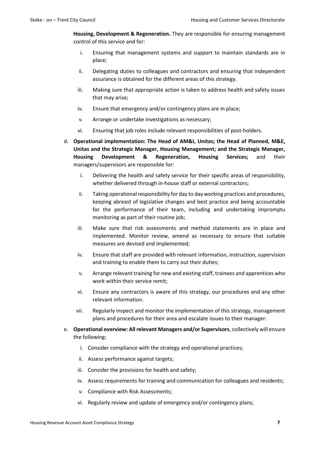**Housing, Development & Regeneration.** They are responsible for ensuring management control of this service and for:

- i. Ensuring that management systems and support to maintain standards are in place;
- ii. Delegating duties to colleagues and contractors and ensuring that independent assurance is obtained for the different areas of this strategy.
- iii. Making sure that appropriate action is taken to address health and safety issues that may arise;
- iv. Ensure that emergency and/or contingency plans are in place;
- v. Arrange or undertake investigations as necessary;
- vi. Ensuring that job roles include relevant responsibilities of post-holders.
- d. **Operational implementation: The Head of AM&I, Unitas; the Head of Planned, M&E, Unitas and the Strategic Manager, Housing Management; and the Strategic Manager, Housing Development & Regeneration, Housing Services;** and their managers/supervisors are responsible for:
	- i. Delivering the health and safety service for their specific areas of responsibility, whether delivered through in-house staff or external contractors;
	- ii. Taking operational responsibility for day to day working practices and procedures, keeping abreast of legislative changes and best practice and being accountable for the performance of their team, including and undertaking impromptu monitoring as part of their routine job;
	- iii. Make sure that risk assessments and method statements are in place and implemented. Monitor review, amend as necessary to ensure that suitable measures are devised and implemented;
	- iv. Ensure that staff are provided with relevant information, instruction, supervision and training to enable them to carry out their duties;
	- v. Arrange relevant training for new and existing staff, trainees and apprentices who work within their service remit;
	- vi. Ensure any contractors is aware of this strategy, our procedures and any other relevant information.
	- vii. Regularly inspect and monitor the implementation of this strategy, management plans and procedures for their area and escalate issues to their manager.
- e. **Operational overview: All relevant Managers and/or Supervisors**, collectively will ensure the following:
	- i. Consider compliance with the strategy and operational practices;
	- ii. Assess performance against targets;
	- iii. Consider the provisions for health and safety;
	- iv. Assess requirements for training and communication for colleagues and residents;
	- v. Compliance with Risk Assessments;
	- vi. Regularly review and update of emergency and/or contingency plans;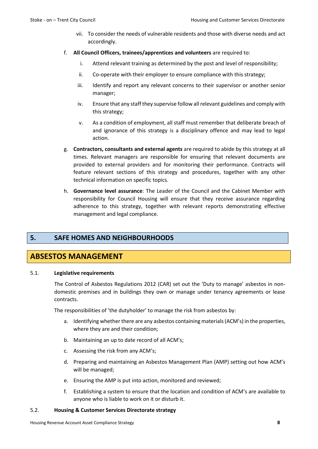- vii. To consider the needs of vulnerable residents and those with diverse needs and act accordingly.
- f. **All Council Officers, trainees/apprentices and volunteers** are required to:
	- i. Attend relevant training as determined by the post and level of responsibility;
	- ii. Co-operate with their employer to ensure compliance with this strategy;
	- iii. Identify and report any relevant concerns to their supervisor or another senior manager;
	- iv. Ensure that any staff they supervise follow all relevant guidelines and comply with this strategy;
	- v. As a condition of employment, all staff must remember that deliberate breach of and ignorance of this strategy is a disciplinary offence and may lead to legal action.
- g. **Contractors, consultants and external agents** are required to abide by this strategy at all times. Relevant managers are responsible for ensuring that relevant documents are provided to external providers and for monitoring their performance. Contracts will feature relevant sections of this strategy and procedures, together with any other technical information on specific topics.
- h. **Governance level assurance**: The Leader of the Council and the Cabinet Member with responsibility for Council Housing will ensure that they receive assurance regarding adherence to this strategy, together with relevant reports demonstrating effective management and legal compliance.

## **5. SAFE HOMES AND NEIGHBOURHOODS**

## **ABSESTOS MANAGEMENT**

#### 5.1. **Legislative requirements**

The Control of Asbestos Regulations 2012 (CAR) set out the 'Duty to manage' asbestos in nondomestic premises and in buildings they own or manage under tenancy agreements or lease contracts.

The responsibilities of 'the dutyholder' to manage the risk from asbestos by:

- a. Identifying whether there are any asbestos containing materials (ACM's) in the properties, where they are and their condition;
- b. Maintaining an up to date record of all ACM's;
- c. Assessing the risk from any ACM's;
- d. Preparing and maintaining an Asbestos Management Plan (AMP) setting out how ACM's will be managed;
- e. Ensuring the AMP is put into action, monitored and reviewed;
- f. Establishing a system to ensure that the location and condition of ACM's are available to anyone who is liable to work on it or disturb it.

#### 5.2. **Housing & Customer Services Directorate strategy**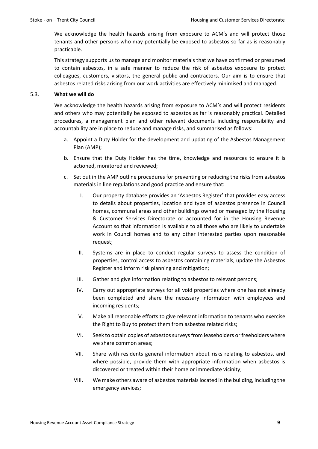We acknowledge the health hazards arising from exposure to ACM's and will protect those tenants and other persons who may potentially be exposed to asbestos so far as is reasonably practicable.

This strategy supports us to manage and monitor materials that we have confirmed or presumed to contain asbestos, in a safe manner to reduce the risk of asbestos exposure to protect colleagues, customers, visitors, the general public and contractors. Our aim is to ensure that asbestos related risks arising from our work activities are effectively minimised and managed.

#### 5.3. **What we will do**

We acknowledge the health hazards arising from exposure to ACM's and will protect residents and others who may potentially be exposed to asbestos as far is reasonably practical. Detailed procedures, a management plan and other relevant documents including responsibility and accountability are in place to reduce and manage risks, and summarised as follows:

- a. Appoint a Duty Holder for the development and updating of the Asbestos Management Plan (AMP);
- b. Ensure that the Duty Holder has the time, knowledge and resources to ensure it is actioned, monitored and reviewed;
- c. Set out in the AMP outline procedures for preventing or reducing the risks from asbestos materials in line regulations and good practice and ensure that:
	- I. Our property database provides an 'Asbestos Register' that provides easy access to details about properties, location and type of asbestos presence in Council homes, communal areas and other buildings owned or managed by the Housing & Customer Services Directorate or accounted for in the Housing Revenue Account so that information is available to all those who are likely to undertake work in Council homes and to any other interested parties upon reasonable request;
	- II. Systems are in place to conduct regular surveys to assess the condition of properties, control access to asbestos containing materials, update the Asbestos Register and inform risk planning and mitigation;
	- III. Gather and give information relating to asbestos to relevant persons;
	- IV. Carry out appropriate surveys for all void properties where one has not already been completed and share the necessary information with employees and incoming residents;
	- V. Make all reasonable efforts to give relevant information to tenants who exercise the Right to Buy to protect them from asbestos related risks;
	- VI. Seek to obtain copies of asbestos surveys from leaseholders or freeholders where we share common areas;
	- VII. Share with residents general information about risks relating to asbestos, and where possible, provide them with appropriate information when asbestos is discovered or treated within their home or immediate vicinity;
	- VIII. We make others aware of asbestos materials located in the building, including the emergency services;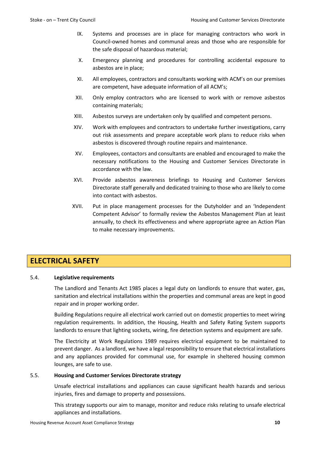- IX. Systems and processes are in place for managing contractors who work in Council-owned homes and communal areas and those who are responsible for the safe disposal of hazardous material;
- X. Emergency planning and procedures for controlling accidental exposure to asbestos are in place;
- XI. All employees, contractors and consultants working with ACM's on our premises are competent, have adequate information of all ACM's;
- XII. Only employ contractors who are licensed to work with or remove asbestos containing materials;
- XIII. Asbestos surveys are undertaken only by qualified and competent persons.
- XIV. Work with employees and contractors to undertake further investigations, carry out risk assessments and prepare acceptable work plans to reduce risks when asbestos is discovered through routine repairs and maintenance.
- XV. Employees, contactors and consultants are enabled and encouraged to make the necessary notifications to the Housing and Customer Services Directorate in accordance with the law.
- XVI. Provide asbestos awareness briefings to Housing and Customer Services Directorate staff generally and dedicated training to those who are likely to come into contact with asbestos.
- XVII. Put in place management processes for the Dutyholder and an 'Independent Competent Advisor' to formally review the Asbestos Management Plan at least annually, to check its effectiveness and where appropriate agree an Action Plan to make necessary improvements.

# **ELECTRICAL SAFETY**

#### 5.4. **Legislative requirements**

The Landlord and Tenants Act 1985 places a legal duty on landlords to ensure that water, gas, sanitation and electrical installations within the properties and communal areas are kept in good repair and in proper working order.

Building Regulations require all electrical work carried out on domestic properties to meet wiring regulation requirements. In addition, the Housing, Health and Safety Rating System supports landlords to ensure that lighting sockets, wiring, fire detection systems and equipment are safe.

The Electricity at Work Regulations 1989 requires electrical equipment to be maintained to prevent danger. As a landlord, we have a legal responsibility to ensure that electrical installations and any appliances provided for communal use, for example in sheltered housing common lounges, are safe to use.

#### 5.5. **Housing and Customer Services Directorate strategy**

Unsafe electrical installations and appliances can cause significant health hazards and serious injuries, fires and damage to property and possessions.

This strategy supports our aim to manage, monitor and reduce risks relating to unsafe electrical appliances and installations.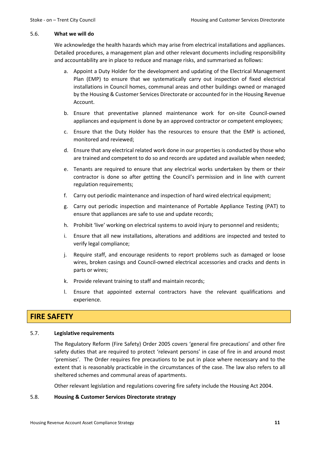#### 5.6. **What we will do**

We acknowledge the health hazards which may arise from electrical installations and appliances. Detailed procedures, a management plan and other relevant documents including responsibility and accountability are in place to reduce and manage risks, and summarised as follows:

- a. Appoint a Duty Holder for the development and updating of the Electrical Management Plan (EMP) to ensure that we systematically carry out inspection of fixed electrical installations in Council homes, communal areas and other buildings owned or managed by the Housing & Customer Services Directorate or accounted for in the Housing Revenue Account.
- b. Ensure that preventative planned maintenance work for on-site Council-owned appliances and equipment is done by an approved contractor or competent employees;
- c. Ensure that the Duty Holder has the resources to ensure that the EMP is actioned, monitored and reviewed;
- d. Ensure that any electrical related work done in our properties is conducted by those who are trained and competent to do so and records are updated and available when needed;
- e. Tenants are required to ensure that any electrical works undertaken by them or their contractor is done so after getting the Council's permission and in line with current regulation requirements;
- f. Carry out periodic maintenance and inspection of hard wired electrical equipment;
- g. Carry out periodic inspection and maintenance of Portable Appliance Testing (PAT) to ensure that appliances are safe to use and update records;
- h. Prohibit 'live' working on electrical systems to avoid injury to personnel and residents;
- i. Ensure that all new installations, alterations and additions are inspected and tested to verify legal compliance;
- j. Require staff, and encourage residents to report problems such as damaged or loose wires, broken casings and Council-owned electrical accessories and cracks and dents in parts or wires;
- k. Provide relevant training to staff and maintain records;
- l. Ensure that appointed external contractors have the relevant qualifications and experience.

# **FIRE SAFETY**

#### 5.7. **Legislative requirements**

The Regulatory Reform (Fire Safety) Order 2005 covers 'general fire precautions' and other fire safety duties that are required to protect 'relevant persons' in case of fire in and around most 'premises'. The Order requires fire precautions to be put in place where necessary and to the extent that is reasonably practicable in the circumstances of the case. The law also refers to all sheltered schemes and communal areas of apartments.

Other relevant legislation and regulations covering fire safety include the Housing Act 2004.

#### 5.8. **Housing & Customer Services Directorate strategy**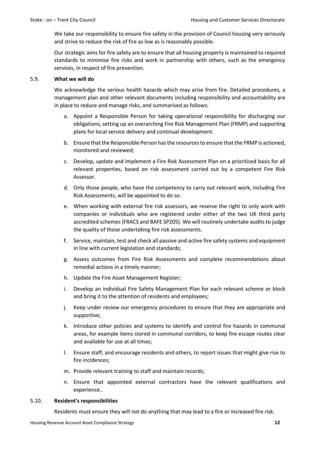We take our responsibility to ensure fire safety in the provision of Council housing very seriously and strive to reduce the risk of fire as low as is reasonably possible.

Our strategic aims for fire safety are to ensure that all housing property is maintained to required standards to minimise fire risks and work in partnership with others, such as the emergency services, in respect of fire prevention.

#### 5.9. **What we will do**

We acknowledge the serious health hazards which may arise from fire. Detailed procedures, a management plan and other relevant documents including responsibility and accountability are in place to reduce and manage risks, and summarised as follows:

- a. Appoint a Responsible Person for taking operational responsibility for discharging our obligations, setting up an overarching Fire Risk Management Plan (FRMP) and supporting plans for local service delivery and continual development.
- b. Ensure that the Responsible Person has the resources to ensure that the FRMP is actioned, monitored and reviewed;
- c. Develop, update and implement a Fire Risk Assessment Plan on a prioritised basis for all relevant properties, based on risk assessment carried out by a competent Fire Risk Assessor.
- d. Only those people, who have the competency to carry out relevant work, including Fire Risk Assessments, will be appointed to do so.
- e. When working with external fire risk assessors, we reserve the right to only work with companies or individuals who are registered under either of the two UK third party accredited schemes (FRACS and BAFE SP205). We will routinely undertake audits to judge the quality of those undertaking fire risk assessments.
- f. Service, maintain, test and check all passive and active fire safety systems and equipment in line with current legislation and standards;
- g. Assess outcomes from Fire Risk Assessments and complete recommendations about remedial actions in a timely manner;
- h. Update the Fire Asset Management Register;
- i. Develop an individual Fire Safety Management Plan for each relevant scheme or block and bring it to the attention of residents and employees;
- j. Keep under review our emergency procedures to ensure that they are appropriate and supportive;
- k. Introduce other policies and systems to identify and control fire hazards in communal areas, for example items stored in communal corridors, to keep fire escape routes clear and available for use at all times;
- l. Ensure staff, and encourage residents and others, to report issues that might give rise to fire incidences;
- m. Provide relevant training to staff and maintain records;
- n. Ensure that appointed external contractors have the relevant qualifications and experience..

#### 5.10. **Resident's responsibilities**

Residents must ensure they will not do anything that may lead to a fire or increased fire risk.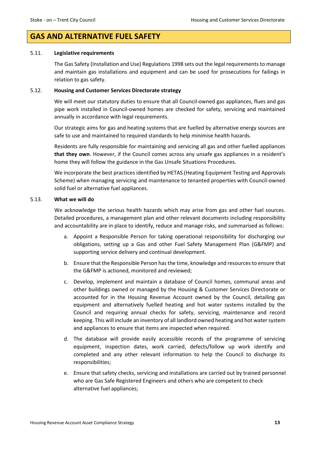## **GAS AND ALTERNATIVE FUEL SAFETY**

#### 5.11. **Legislative requirements**

The Gas Safety (Installation and Use) Regulations 1998 sets out the legal requirements to manage and maintain gas installations and equipment and can be used for prosecutions for failings in relation to gas safety.

#### 5.12. **Housing and Customer Services Directorate strategy**

We will meet our statutory duties to ensure that all Council-owned gas appliances, flues and gas pipe work installed in Council-owned homes are checked for safety, servicing and maintained annually in accordance with legal requirements.

Our strategic aims for gas and heating systems that are fuelled by alternative energy sources are safe to use and maintained to required standards to help minimise health hazards.

Residents are fully responsible for maintaining and servicing all gas and other fuelled appliances **that they own**. However, if the Council comes across any unsafe gas appliances in a resident's home they will follow the guidance in the Gas Unsafe Situations Procedures.

We incorporate the best practices identified by HETAS (Heating Equipment Testing and Approvals Scheme) when managing servicing and maintenance to tenanted properties with Council-owned solid fuel or alternative fuel appliances.

#### 5.13. **What we will do**

We acknowledge the serious health hazards which may arise from gas and other fuel sources. Detailed procedures, a management plan and other relevant documents including responsibility and accountability are in place to identify, reduce and manage risks, and summarised as follows:

- a. Appoint a Responsible Person for taking operational responsibility for discharging our obligations, setting up a Gas and other Fuel Safety Management Plan (G&FMP) and supporting service delivery and continual development.
- b. Ensure that the Responsible Person has the time, knowledge and resources to ensure that the G&FMP is actioned, monitored and reviewed;
- c. Develop, implement and maintain a database of Council homes, communal areas and other buildings owned or managed by the Housing & Customer Services Directorate or accounted for in the Housing Revenue Account owned by the Council, detailing gas equipment and alternatively fuelled heating and hot water systems installed by the Council and requiring annual checks for safety, servicing, maintenance and record keeping. This will include an inventory of all landlord owned heating and hot water system and appliances to ensure that items are inspected when required.
- d. The database will provide easily accessible records of the programme of servicing equipment, inspection dates, work carried, defects/follow up work identify and completed and any other relevant information to help the Council to discharge its responsibilities;
- e. Ensure that safety checks, servicing and installations are carried out by trained personnel who are Gas Safe Registered Engineers and others who are competent to check alternative fuel appliances;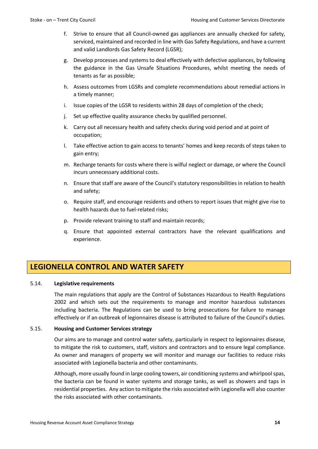- f. Strive to ensure that all Council-owned gas appliances are annually checked for safety, serviced, maintained and recorded in line with Gas Safety Regulations, and have a current and valid Landlords Gas Safety Record (LGSR);
- g. Develop processes and systems to deal effectively with defective appliances, by following the guidance in the Gas Unsafe Situations Procedures, whilst meeting the needs of tenants as far as possible;
- h. Assess outcomes from LGSRs and complete recommendations about remedial actions in a timely manner;
- i. Issue copies of the LGSR to residents within 28 days of completion of the check;
- j. Set up effective quality assurance checks by qualified personnel.
- k. Carry out all necessary health and safety checks during void period and at point of occupation;
- l. Take effective action to gain access to tenants' homes and keep records of steps taken to gain entry;
- m. Recharge tenants for costs where there is wilful neglect or damage, or where the Council incurs unnecessary additional costs.
- n. Ensure that staff are aware of the Council's statutory responsibilities in relation to health and safety;
- o. Require staff, and encourage residents and others to report issues that might give rise to health hazards due to fuel-related risks;
- p. Provide relevant training to staff and maintain records;
- q. Ensure that appointed external contractors have the relevant qualifications and experience.

# **LEGIONELLA CONTROL AND WATER SAFETY**

#### 5.14. **Legislative requirements**

The main regulations that apply are the Control of Substances Hazardous to Health Regulations 2002 and which sets out the requirements to manage and monitor hazardous substances including bacteria. The Regulations can be used to bring prosecutions for failure to manage effectively or if an outbreak of legionnaires disease is attributed to failure of the Council's duties.

#### 5.15. **Housing and Customer Services strategy**

Our aims are to manage and control water safety, particularly in respect to legionnaires disease, to mitigate the risk to customers, staff, visitors and contractors and to ensure legal compliance. As owner and managers of property we will monitor and manage our facilities to reduce risks associated with Legionella bacteria and other contaminants.

Although, more usually found in large cooling towers, air conditioning systems and whirlpool spas, the bacteria can be found in water systems and storage tanks, as well as showers and taps in residential properties. Any action to mitigate the risks associated with Legionella will also counter the risks associated with other contaminants.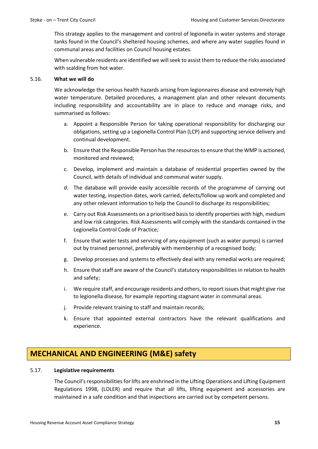This strategy applies to the management and control of legionella in water systems and storage tanks found in the Council's sheltered housing schemes, and where any water supplies found in communal areas and facilities on Council housing estates.

When vulnerable residents are identified we will seek to assist them to reduce the risks associated with scalding from hot water.

#### 5.16. **What we will do**

We acknowledge the serious health hazards arising from legionnaires disease and extremely high water temperature. Detailed procedures, a management plan and other relevant documents including responsibility and accountability are in place to reduce and manage risks, and summarised as follows:

- a. Appoint a Responsible Person for taking operational responsibility for discharging our obligations, setting up a Legionella Control Plan (LCP) and supporting service delivery and continual development.
- b. Ensure that the Responsible Person has the resources to ensure that the WMP is actioned, monitored and reviewed;
- c. Develop, implement and maintain a database of residential properties owned by the Council, with details of individual and communal water supply.
- d. The database will provide easily accessible records of the programme of carrying out water testing, inspection dates, work carried, defects/follow up work and completed and any other relevant information to help the Council to discharge its responsibilities;
- e. Carry out Risk Assessments on a prioritised basisto identify properties with high, medium and low risk categories. Risk Assessments will comply with the standards contained in the Legionella Control Code of Practice;
- f. Ensure that water tests and servicing of any equipment (such as water pumps) is carried out by trained personnel, preferably with membership of a recognised body;
- g. Develop processes and systems to effectively deal with any remedial works are required;
- h. Ensure that staff are aware of the Council's statutory responsibilities in relation to health and safety;
- i. We require staff, and encourage residents and others, to report issues that might give rise to legionella disease, for example reporting stagnant water in communal areas.
- j. Provide relevant training to staff and maintain records;
- k. Ensure that appointed external contractors have the relevant qualifications and experience.

# **MECHANICAL AND ENGINEERING (M&E) safety**

#### 5.17. **Legislative requirements**

The Council's responsibilities for lifts are enshrined in the Lifting Operations and Lifting Equipment Regulations 1998, (LOLER) and require that all lifts, lifting equipment and accessories are maintained in a safe condition and that inspections are carried out by competent persons.